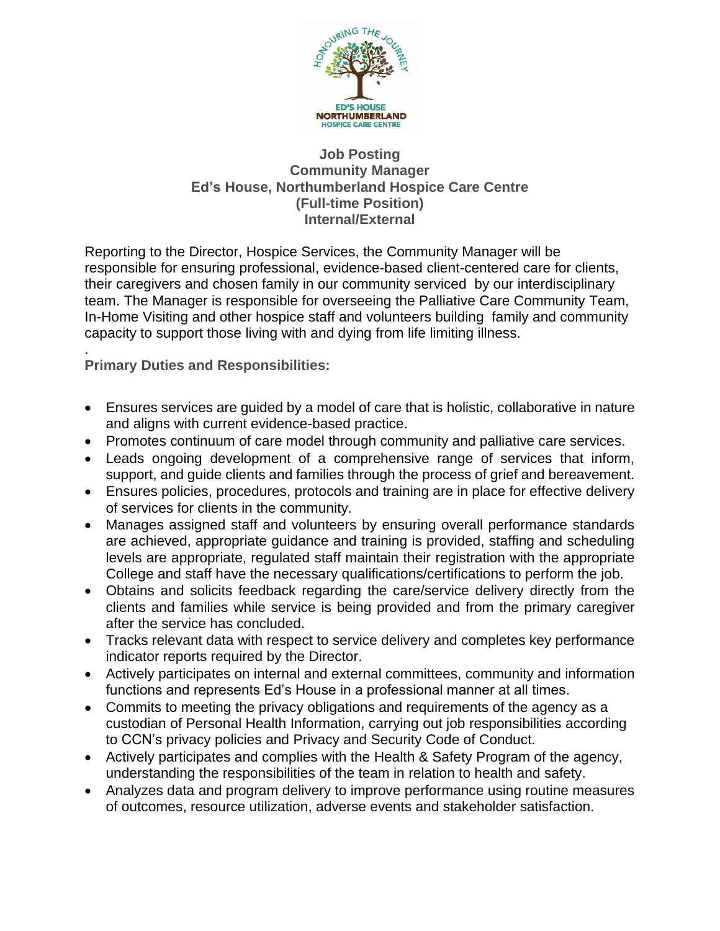

## **Job Posting Community Manager Ed's House, Northumberland Hospice Care Centre (Full-time Position) Internal/External**

Reporting to the Director, Hospice Services, the Community Manager will be responsible for ensuring professional, evidence-based client-centered care for clients, their caregivers and chosen family in our community serviced by our interdisciplinary team. The Manager is responsible for overseeing the Palliative Care Community Team, In-Home Visiting and other hospice staff and volunteers building family and community capacity to support those living with and dying from life limiting illness.

. **Primary Duties and Responsibilities:**

- Ensures services are guided by a model of care that is holistic, collaborative in nature and aligns with current evidence-based practice.
- Promotes continuum of care model through community and palliative care services.
- Leads ongoing development of a comprehensive range of services that inform, support, and guide clients and families through the process of grief and bereavement.
- Ensures policies, procedures, protocols and training are in place for effective delivery of services for clients in the community.
- Manages assigned staff and volunteers by ensuring overall performance standards are achieved, appropriate guidance and training is provided, staffing and scheduling levels are appropriate, regulated staff maintain their registration with the appropriate College and staff have the necessary qualifications/certifications to perform the job.
- Obtains and solicits feedback regarding the care/service delivery directly from the clients and families while service is being provided and from the primary caregiver after the service has concluded.
- Tracks relevant data with respect to service delivery and completes key performance indicator reports required by the Director.
- Actively participates on internal and external committees, community and information functions and represents Ed's House in a professional manner at all times.
- Commits to meeting the privacy obligations and requirements of the agency as a custodian of Personal Health Information, carrying out job responsibilities according to CCN's privacy policies and Privacy and Security Code of Conduct.
- Actively participates and complies with the Health & Safety Program of the agency, understanding the responsibilities of the team in relation to health and safety.
- Analyzes data and program delivery to improve performance using routine measures of outcomes, resource utilization, adverse events and stakeholder satisfaction.